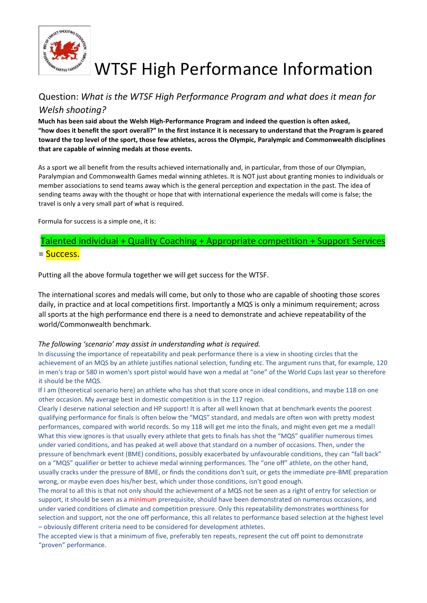

# WTSF High Performance Information

# Question: *What is the WTSF High Performance Program and what does it mean for Welsh shooting?*

**Much has been said about the Welsh High-Performance Program and indeed the question is often asked, "how does it benefit the sport overall?" In the first instance it is necessary to understand that the Program is geared toward the top level of the sport, those few athletes, across the Olympic, Paralympic and Commonwealth disciplines that are capable of winning medals at those events.**

As a sport we all benefit from the results achieved internationally and, in particular, from those of our Olympian, Paralympian and Commonwealth Games medal winning athletes. It is NOT just about granting monies to individuals or member associations to send teams away which is the general perception and expectation in the past. The idea of sending teams away with the thought or hope that with international experience the medals will come is false; the travel is only a very small part of what is required.

Formula for success is a simple one, it is:

# Talented individual + Quality Coaching + Appropriate competition + Support Services = Success.

Putting all the above formula together we will get success for the WTSF.

The international scores and medals will come, but only to those who are capable of shooting those scores daily, in practice and at local competitions first. Importantly a MQS is only a minimum requirement; across all sports at the high performance end there is a need to demonstrate and achieve repeatability of the world/Commonwealth benchmark.

#### *The following 'scenario' may assist in understanding what is required.*

In discussing the importance of repeatability and peak performance there is a view in shooting circles that the achievement of an MQS by an athlete justifies national selection, funding etc. The argument runs that, for example, 120 in men's trap or 580 in women's sport pistol would have won a medal at "one" of the World Cups last year so therefore it should be the MQS.

If I am (theoretical scenario here) an athlete who has shot that score once in ideal conditions, and maybe 118 on one other occasion. My average best in domestic competition is in the 117 region.

Clearly I deserve national selection and HP support! It is after all well known that at benchmark events the poorest qualifying performance for finals is often below the "MQS" standard, and medals are often won with pretty modest performances, compared with world records. So my 118 will get me into the finals, and might even get me a medal! What this view ignores is that usually every athlete that gets to finals has shot the "MQS" qualifier numerous times under varied conditions, and has peaked at well above that standard on a number of occasions. Then, under the pressure of benchmark event (BME) conditions, possibly exacerbated by unfavourable conditions, they can "fall back" on a "MQS" qualifier or better to achieve medal winning performances. The "one off" athlete, on the other hand, usually cracks under the pressure of BME, or finds the conditions don't suit, or gets the immediate pre‐BME preparation wrong, or maybe even does his/her best, which under those conditions, isn't good enough.

The moral to all this is that not only should the achievement of a MQS not be seen as a right of entry for selection or support, it should be seen as a minimum prerequisite, should have been demonstrated on numerous occasions, and under varied conditions of climate and competition pressure. Only this repeatability demonstrates worthiness for selection and support, not the one off performance, this all relates to performance based selection at the highest level – obviously different criteria need to be considered for development athletes.

The accepted view is that a minimum of five, preferably ten repeats, represent the cut off point to demonstrate "proven" performance.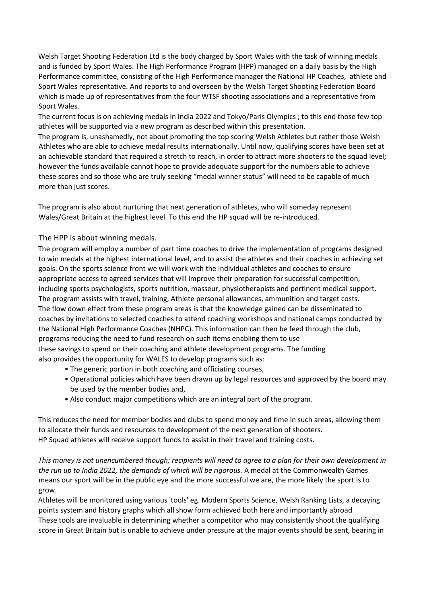Welsh Target Shooting Federation Ltd is the body charged by Sport Wales with the task of winning medals and is funded by Sport Wales. The High Performance Program (HPP) managed on a daily basis by the High Performance committee, consisting of the High Performance manager the National HP Coaches, athlete and Sport Wales representative. And reports to and overseen by the Welsh Target Shooting Federation Board which is made up of representatives from the four WTSF shooting associations and a representative from Sport Wales.

The current focus is on achieving medals in India 2022 and Tokyo/Paris Olympics ; to this end those few top athletes will be supported via a new program as described within this presentation.

The program is, unashamedly, not about promoting the top scoring Welsh Athletes but rather those Welsh Athletes who are able to achieve medal results internationally. Until now, qualifying scores have been set at an achievable standard that required a stretch to reach, in order to attract more shooters to the squad level; however the funds available cannot hope to provide adequate support for the numbers able to achieve these scores and so those who are truly seeking "medal winner status" will need to be capable of much more than just scores.

The program is also about nurturing that next generation of athletes, who will someday represent Wales/Great Britain at the highest level. To this end the HP squad will be re-introduced.

The HPP is about winning medals.

The program will employ a number of part time coaches to drive the implementation of programs designed to win medals at the highest international level, and to assist the athletes and their coaches in achieving set goals. On the sports science front we will work with the individual athletes and coaches to ensure appropriate access to agreed services that will improve their preparation for successful competition, including sports psychologists, sports nutrition, masseur, physiotherapists and pertinent medical support. The program assists with travel, training, Athlete personal allowances, ammunition and target costs. The flow down effect from these program areas is that the knowledge gained can be disseminated to coaches by invitations to selected coaches to attend coaching workshops and national camps conducted by the National High Performance Coaches (NHPC). This information can then be feed through the club, programs reducing the need to fund research on such items enabling them to use these savings to spend on their coaching and athlete development programs. The funding also provides the opportunity for WALES to develop programs such as:

- The generic portion in both coaching and officiating courses,
- Operational policies which have been drawn up by legal resources and approved by the board may be used by the member bodies and,
- Also conduct major competitions which are an integral part of the program.

This reduces the need for member bodies and clubs to spend money and time in such areas, allowing them to allocate their funds and resources to development of the next generation of shooters. HP Squad athletes will receive support funds to assist in their travel and training costs.

*This money is not unencumbered though; recipients will need to agree to a plan for their own development in the run up to India 2022, the demands of which will be rigorous.* A medal at the Commonwealth Games means our sport will be in the public eye and the more successful we are, the more likely the sport is to grow.

Athletes will be monitored using various 'tools' eg. Modern Sports Science, Welsh Ranking Lists, a decaying points system and history graphs which all show form achieved both here and importantly abroad These tools are invaluable in determining whether a competitor who may consistently shoot the qualifying score in Great Britain but is unable to achieve under pressure at the major events should be sent, bearing in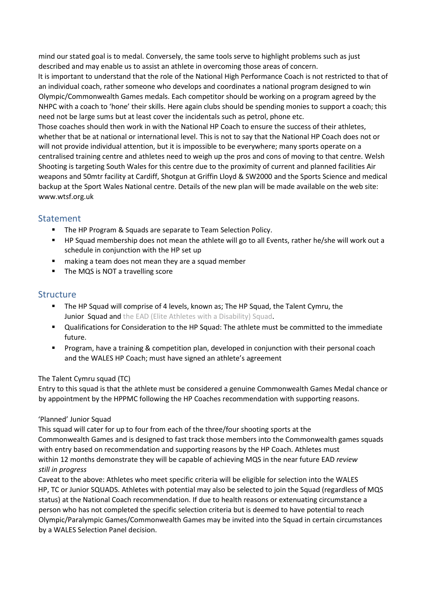mind our stated goal is to medal. Conversely, the same tools serve to highlight problems such as just described and may enable us to assist an athlete in overcoming those areas of concern.

It is important to understand that the role of the National High Performance Coach is not restricted to that of an individual coach, rather someone who develops and coordinates a national program designed to win Olympic/Commonwealth Games medals. Each competitor should be working on a program agreed by the NHPC with a coach to 'hone' their skills. Here again clubs should be spending monies to support a coach; this need not be large sums but at least cover the incidentals such as petrol, phone etc.

Those coaches should then work in with the National HP Coach to ensure the success of their athletes, whether that be at national or international level. This is not to say that the National HP Coach does not or will not provide individual attention, but it is impossible to be everywhere; many sports operate on a centralised training centre and athletes need to weigh up the pros and cons of moving to that centre. Welsh Shooting is targeting South Wales for this centre due to the proximity of current and planned facilities Air weapons and 50mtr facility at Cardiff, Shotgun at Griffin Lloyd & SW2000 and the Sports Science and medical backup at the Sport Wales National centre. Details of the new plan will be made available on the web site: www.wtsf.org.uk

## Statement

- The HP Program & Squads are separate to Team Selection Policy.
- HP Squad membership does not mean the athlete will go to all Events, rather he/she will work out a schedule in conjunction with the HP set up
- making a team does not mean they are a squad member
- The MQS is NOT a travelling score

### **Structure**

- The HP Squad will comprise of 4 levels, known as; The HP Squad, the Talent Cymru, the Junior Squad and the EAD (Elite Athletes with a Disability) Squad.
- Qualifications for Consideration to the HP Squad: The athlete must be committed to the immediate future.
- Program, have a training & competition plan, developed in conjunction with their personal coach and the WALES HP Coach; must have signed an athlete's agreement

### The Talent Cymru squad (TC)

Entry to this squad is that the athlete must be considered a genuine Commonwealth Games Medal chance or by appointment by the HPPMC following the HP Coaches recommendation with supporting reasons.

### 'Planned' Junior Squad

This squad will cater for up to four from each of the three/four shooting sports at the Commonwealth Games and is designed to fast track those members into the Commonwealth games squads with entry based on recommendation and supporting reasons by the HP Coach. Athletes must within 12 months demonstrate they will be capable of achieving MQS in the near future EAD *review still in progress* 

Caveat to the above: Athletes who meet specific criteria will be eligible for selection into the WALES HP, TC or Junior SQUADS. Athletes with potential may also be selected to join the Squad (regardless of MQS status) at the National Coach recommendation. If due to health reasons or extenuating circumstance a person who has not completed the specific selection criteria but is deemed to have potential to reach Olympic/Paralympic Games/Commonwealth Games may be invited into the Squad in certain circumstances by a WALES Selection Panel decision.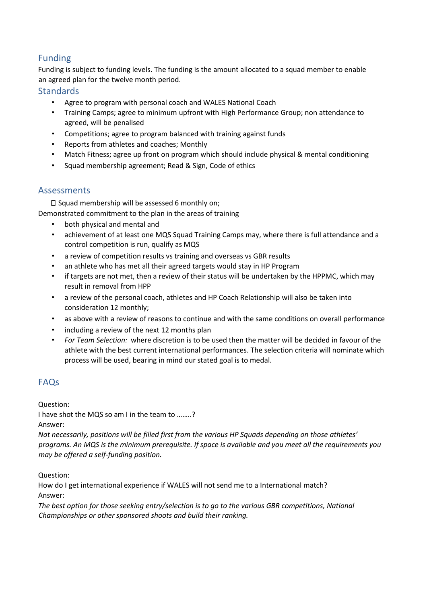# Funding

Funding is subject to funding levels. The funding is the amount allocated to a squad member to enable an agreed plan for the twelve month period.

### **Standards**

- Agree to program with personal coach and WALES National Coach
- Training Camps; agree to minimum upfront with High Performance Group; non attendance to agreed, will be penalised
- Competitions; agree to program balanced with training against funds
- Reports from athletes and coaches; Monthly
- Match Fitness; agree up front on program which should include physical & mental conditioning
- Squad membership agreement; Read & Sign, Code of ethics

### Assessments

 $\square$  Squad membership will be assessed 6 monthly on;

Demonstrated commitment to the plan in the areas of training

- both physical and mental and
- achievement of at least one MQS Squad Training Camps may, where there is full attendance and a control competition is run, qualify as MQS
- a review of competition results vs training and overseas vs GBR results
- an athlete who has met all their agreed targets would stay in HP Program
- if targets are not met, then a review of their status will be undertaken by the HPPMC, which may result in removal from HPP
- a review of the personal coach, athletes and HP Coach Relationship will also be taken into consideration 12 monthly;
- as above with a review of reasons to continue and with the same conditions on overall performance
- including a review of the next 12 months plan
- *For Team Selection:* where discretion is to be used then the matter will be decided in favour of the athlete with the best current international performances. The selection criteria will nominate which process will be used, bearing in mind our stated goal is to medal.

# FAQs

Question:

I have shot the MQS so am I in the team to ……..?

Answer:

*Not necessarily, positions will be filled first from the various HP Squads depending on those athletes' programs. An MQS is the minimum prerequisite. If space is available and you meet all the requirements you may be offered a self-funding position.* 

Question:

How do I get international experience if WALES will not send me to a International match? Answer:

*The best option for those seeking entry/selection is to go to the various GBR competitions, National Championships or other sponsored shoots and build their ranking.*